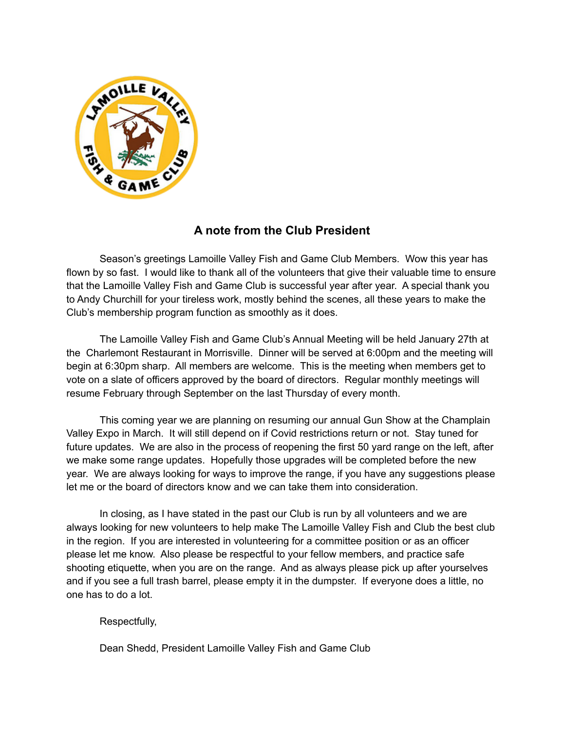

# **A note from the Club President**

Season's greetings Lamoille Valley Fish and Game Club Members. Wow this year has flown by so fast. I would like to thank all of the volunteers that give their valuable time to ensure that the Lamoille Valley Fish and Game Club is successful year after year. A special thank you to Andy Churchill for your tireless work, mostly behind the scenes, all these years to make the Club's membership program function as smoothly as it does.

The Lamoille Valley Fish and Game Club's Annual Meeting will be held January 27th at the Charlemont Restaurant in Morrisville. Dinner will be served at 6:00pm and the meeting will begin at 6:30pm sharp. All members are welcome. This is the meeting when members get to vote on a slate of officers approved by the board of directors. Regular monthly meetings will resume February through September on the last Thursday of every month.

This coming year we are planning on resuming our annual Gun Show at the Champlain Valley Expo in March. It will still depend on if Covid restrictions return or not. Stay tuned for future updates. We are also in the process of reopening the first 50 yard range on the left, after we make some range updates. Hopefully those upgrades will be completed before the new year. We are always looking for ways to improve the range, if you have any suggestions please let me or the board of directors know and we can take them into consideration.

In closing, as I have stated in the past our Club is run by all volunteers and we are always looking for new volunteers to help make The Lamoille Valley Fish and Club the best club in the region. If you are interested in volunteering for a committee position or as an officer please let me know. Also please be respectful to your fellow members, and practice safe shooting etiquette, when you are on the range. And as always please pick up after yourselves and if you see a full trash barrel, please empty it in the dumpster. If everyone does a little, no one has to do a lot.

#### Respectfully,

Dean Shedd, President Lamoille Valley Fish and Game Club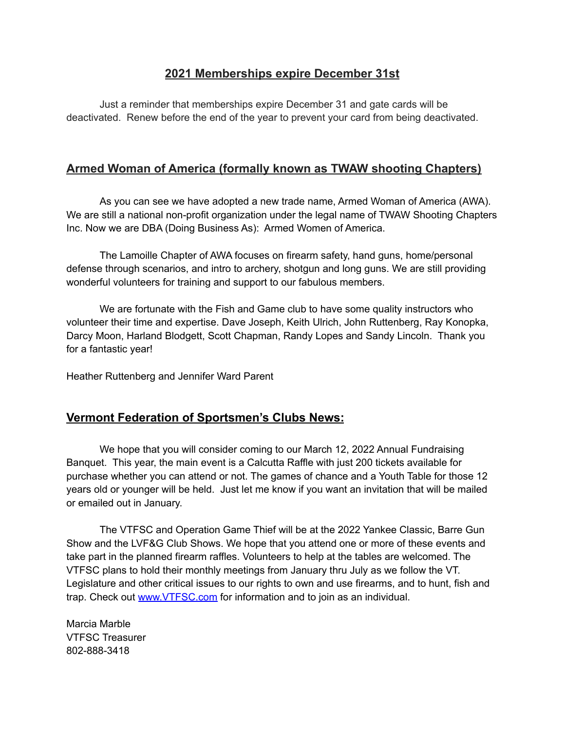### **2021 Memberships expire December 31st**

Just a reminder that memberships expire December 31 and gate cards will be deactivated. Renew before the end of the year to prevent your card from being deactivated.

## **Armed Woman of America (formally known as TWAW shooting Chapters)**

As you can see we have adopted a new trade name, Armed Woman of America (AWA). We are still a national non-profit organization under the legal name of TWAW Shooting Chapters Inc. Now we are DBA (Doing Business As): Armed Women of America.

The Lamoille Chapter of AWA focuses on firearm safety, hand guns, home/personal defense through scenarios, and intro to archery, shotgun and long guns. We are still providing wonderful volunteers for training and support to our fabulous members.

We are fortunate with the Fish and Game club to have some quality instructors who volunteer their time and expertise. Dave Joseph, Keith Ulrich, John Ruttenberg, Ray Konopka, Darcy Moon, Harland Blodgett, Scott Chapman, Randy Lopes and Sandy Lincoln. Thank you for a fantastic year!

Heather Ruttenberg and Jennifer Ward Parent

### **Vermont Federation of Sportsmen's Clubs News:**

We hope that you will consider coming to our March 12, 2022 Annual Fundraising Banquet. This year, the main event is a Calcutta Raffle with just 200 tickets available for purchase whether you can attend or not. The games of chance and a Youth Table for those 12 years old or younger will be held. Just let me know if you want an invitation that will be mailed or emailed out in January.

The VTFSC and Operation Game Thief will be at the 2022 Yankee Classic, Barre Gun Show and the LVF&G Club Shows. We hope that you attend one or more of these events and take part in the planned firearm raffles. Volunteers to help at the tables are welcomed. The VTFSC plans to hold their monthly meetings from January thru July as we follow the VT. Legislature and other critical issues to our rights to own and use firearms, and to hunt, fish and trap. Check out [www.VTFSC.com](http://www.vtfsc.com/) for information and to join as an individual.

Marcia Marble VTFSC Treasurer 802-888-3418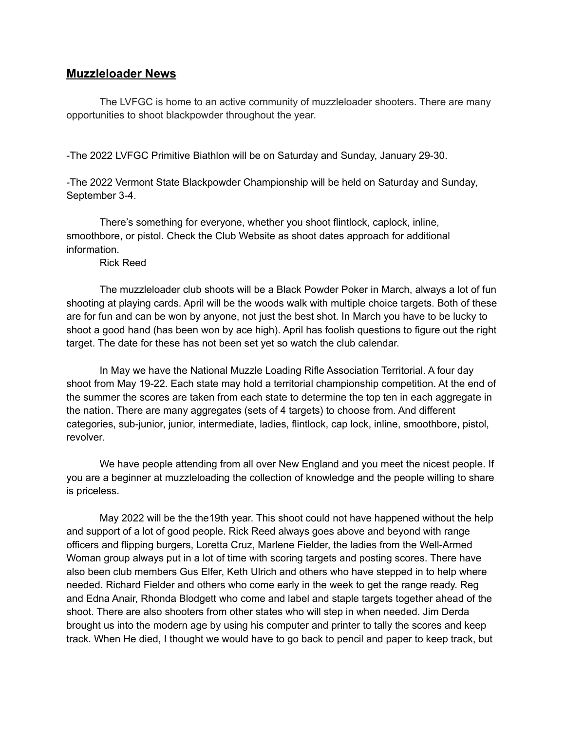#### **Muzzleloader News**

The LVFGC is home to an active community of muzzleloader shooters. There are many opportunities to shoot blackpowder throughout the year.

-The 2022 LVFGC Primitive Biathlon will be on Saturday and Sunday, January 29-30.

-The 2022 Vermont State Blackpowder Championship will be held on Saturday and Sunday, September 3-4.

There's something for everyone, whether you shoot flintlock, caplock, inline, smoothbore, or pistol. Check the Club Website as shoot dates approach for additional information.

Rick Reed

The muzzleloader club shoots will be a Black Powder Poker in March, always a lot of fun shooting at playing cards. April will be the woods walk with multiple choice targets. Both of these are for fun and can be won by anyone, not just the best shot. In March you have to be lucky to shoot a good hand (has been won by ace high). April has foolish questions to figure out the right target. The date for these has not been set yet so watch the club calendar.

In May we have the National Muzzle Loading Rifle Association Territorial. A four day shoot from May 19-22. Each state may hold a territorial championship competition. At the end of the summer the scores are taken from each state to determine the top ten in each aggregate in the nation. There are many aggregates (sets of 4 targets) to choose from. And different categories, sub-junior, junior, intermediate, ladies, flintlock, cap lock, inline, smoothbore, pistol, revolver.

We have people attending from all over New England and you meet the nicest people. If you are a beginner at muzzleloading the collection of knowledge and the people willing to share is priceless.

May 2022 will be the the19th year. This shoot could not have happened without the help and support of a lot of good people. Rick Reed always goes above and beyond with range officers and flipping burgers, Loretta Cruz, Marlene Fielder, the ladies from the Well-Armed Woman group always put in a lot of time with scoring targets and posting scores. There have also been club members Gus Elfer, Keth Ulrich and others who have stepped in to help where needed. Richard Fielder and others who come early in the week to get the range ready. Reg and Edna Anair, Rhonda Blodgett who come and label and staple targets together ahead of the shoot. There are also shooters from other states who will step in when needed. Jim Derda brought us into the modern age by using his computer and printer to tally the scores and keep track. When He died, I thought we would have to go back to pencil and paper to keep track, but